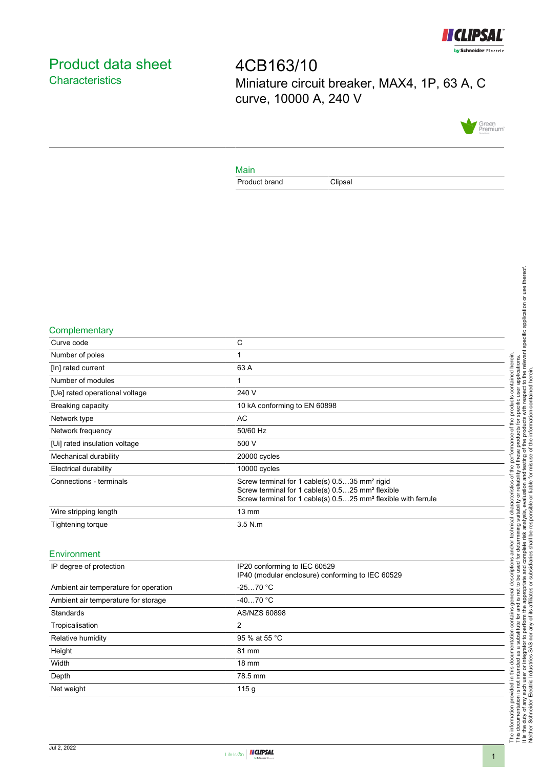

# <span id="page-0-0"></span>Product data sheet **Characteristics**

4CB163/10 Miniature circuit breaker, MAX4, 1P, 63 A, C curve, 10000 A, 240 V



#### Main

Product brand Clipsal

#### **Complementary**

| Curve code                     | С                                                                                                                                                                                                      |
|--------------------------------|--------------------------------------------------------------------------------------------------------------------------------------------------------------------------------------------------------|
| Number of poles                |                                                                                                                                                                                                        |
| [In] rated current             | 63 A                                                                                                                                                                                                   |
| Number of modules              |                                                                                                                                                                                                        |
| [Ue] rated operational voltage | 240 V                                                                                                                                                                                                  |
| <b>Breaking capacity</b>       | 10 kA conforming to EN 60898                                                                                                                                                                           |
| Network type                   | AC                                                                                                                                                                                                     |
| Network frequency              | 50/60 Hz                                                                                                                                                                                               |
| [Ui] rated insulation voltage  | 500 V                                                                                                                                                                                                  |
| Mechanical durability          | 20000 cycles                                                                                                                                                                                           |
| <b>Electrical durability</b>   | 10000 cycles                                                                                                                                                                                           |
| Connections - terminals        | Screw terminal for 1 cable(s) 0.535 mm <sup>2</sup> rigid<br>Screw terminal for 1 cable(s) 0.525 mm <sup>2</sup> flexible<br>Screw terminal for 1 cable(s) 0.525 mm <sup>2</sup> flexible with ferrule |
| Wire stripping length          | $13 \text{ mm}$                                                                                                                                                                                        |
| Tightening torque              | $3.5$ N.m                                                                                                                                                                                              |
|                                |                                                                                                                                                                                                        |

### Environment

| IP degree of protection               | IP20 conforming to IEC 60529<br>IP40 (modular enclosure) conforming to IEC 60529 |
|---------------------------------------|----------------------------------------------------------------------------------|
| Ambient air temperature for operation | $-2570 °C$                                                                       |
| Ambient air temperature for storage   | $-4070 °C$                                                                       |
| Standards                             | AS/NZS 60898                                                                     |
| Tropicalisation                       | 2                                                                                |
| Relative humidity                     | 95 % at 55 °C                                                                    |
| Height                                | 81 mm                                                                            |
| Width                                 | $18 \text{ mm}$                                                                  |
| Depth                                 | 78.5 mm                                                                          |
| Net weight                            | 115g                                                                             |